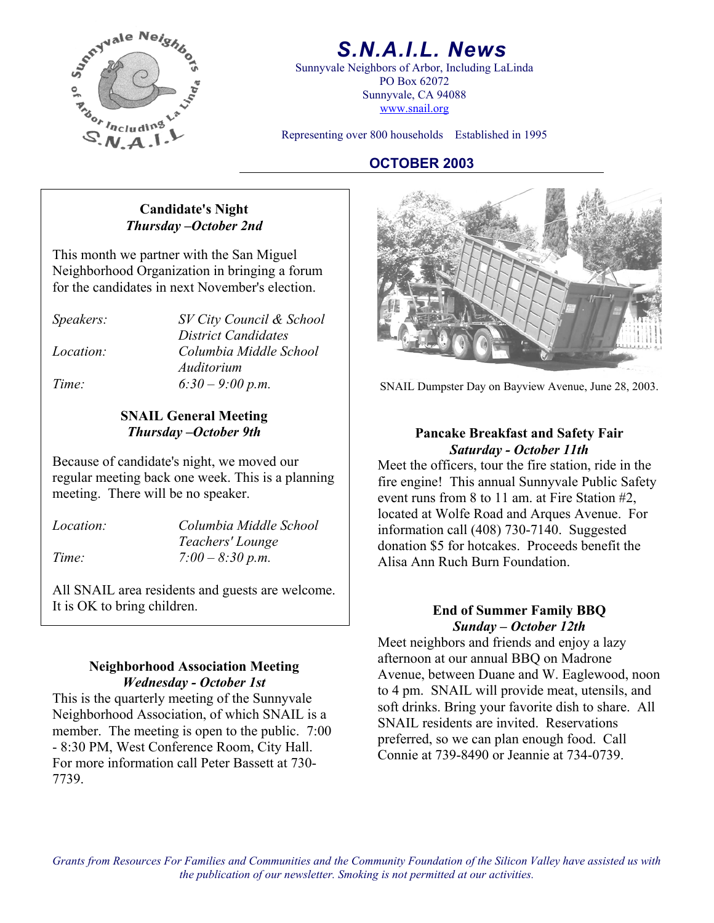

## *S.N.A.I.L. News*

Sunnyvale Neighbors of Arbor, Including LaLinda PO Box 62072 Sunnyvale, CA 94088 www.snail.org

Representing over 800 households Established in 1995

#### **OCTOBER 2003**

#### **Candidate's Night**  *Thursday –October 2nd*

This month we partner with the San Miguel Neighborhood Organization in bringing a forum for the candidates in next November's election.

*Speakers: SV City Council & School District Candidates Location: Columbia Middle School Auditorium* 

## **SNAIL General Meeting**

**Saturday - October 11th**<br>Because of candidate's night, we moved our<br>Meet the officers tour the fire station regular meeting back one week. This is a planning meeting. There will be no speaker.

*Location: Columbia Middle School Teachers' Lounge*

All SNAIL area residents and guests are welcome. It is OK to bring children.<br> **End of Summer Family BBQ** 

#### **Neighborhood Association Meeting**  *Wednesday - October 1st*

This is the quarterly meeting of the Sunnyvale Neighborhood Association, of which SNAIL is a member. The meeting is open to the public. 7:00 - 8:30 PM, West Conference Room, City Hall. For more information call Peter Bassett at 730- 7739.



*Time:* 6:30 – 9:00 p.m. SNAIL Dumpster Day on Bayview Avenue, June 28, 2003.

# *Thursday –October 9th* **Pancake Breakfast and Safety Fair**

Meet the officers, tour the fire station, ride in the fire engine! This annual Sunnyvale Public Safety event runs from 8 to 11 am. at Fire Station #2, located at Wolfe Road and Arques Avenue. For information call (408) 730-7140. Suggested donation \$5 for hotcakes. Proceeds benefit the Alisa Ann Ruch Burn Foundation. *Time: 7:00 – 8:30 p.m.* 

## *Sunday – October 12th*

Meet neighbors and friends and enjoy a lazy afternoon at our annual BBQ on Madrone Avenue, between Duane and W. Eaglewood, noon to 4 pm. SNAIL will provide meat, utensils, and soft drinks. Bring your favorite dish to share. All SNAIL residents are invited. Reservations preferred, so we can plan enough food. Call Connie at 739-8490 or Jeannie at 734-0739.

*Grants from Resources For Families and Communities and the Community Foundation of the Silicon Valley have assisted us with the publication of our newsletter. Smoking is not permitted at our activities.*